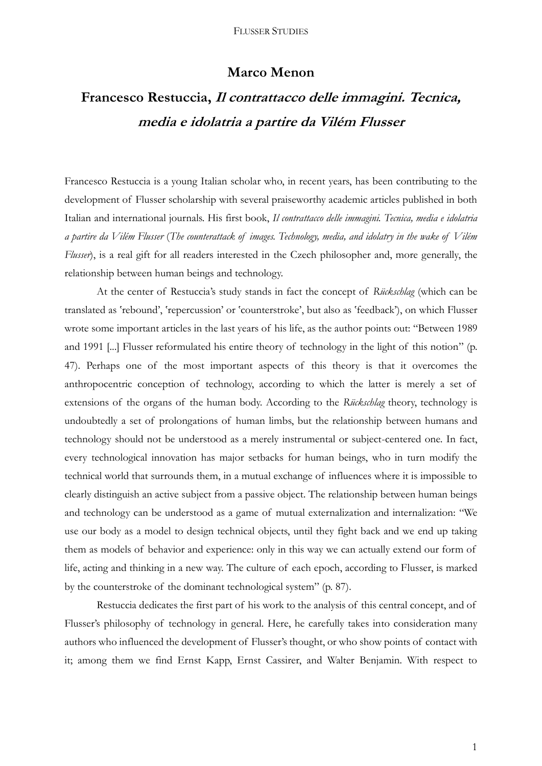## **Marco Menon**

## **Francesco Restuccia, Il contrattacco delle immagini. Tecnica, media e idolatria a partire da Vilém Flusser**

Francesco Restuccia is a young Italian scholar who, in recent years, has been contributing to the development of Flusser scholarship with several praiseworthy academic articles published in both Italian and international journals. His first book, *Il contrattacco delle immagini. Tecnica, media e idolatria a partire da Vilém Flusser* (*The counterattack of images. Technology, media, and idolatry in the wake of Vilém Flusser*), is a real gift for all readers interested in the Czech philosopher and, more generally, the relationship between human beings and technology.

At the center of Restuccia's study stands in fact the concept of *Rückschlag* (which can be translated as 'rebound', 'repercussion' or 'counterstroke', but also as 'feedback'), on which Flusser wrote some important articles in the last years of his life, as the author points out: "Between 1989 and 1991 [...] Flusser reformulated his entire theory of technology in the light of this notion" (p. 47). Perhaps one of the most important aspects of this theory is that it overcomes the anthropocentric conception of technology, according to which the latter is merely a set of extensions of the organs of the human body. According to the *Rückschlag* theory, technology is undoubtedly a set of prolongations of human limbs, but the relationship between humans and technology should not be understood as a merely instrumental or subject-centered one. In fact, every technological innovation has major setbacks for human beings, who in turn modify the technical world that surrounds them, in a mutual exchange of influences where it is impossible to clearly distinguish an active subject from a passive object. The relationship between human beings and technology can be understood as a game of mutual externalization and internalization: "We use our body as a model to design technical objects, until they fight back and we end up taking them as models of behavior and experience: only in this way we can actually extend our form of life, acting and thinking in a new way. The culture of each epoch, according to Flusser, is marked by the counterstroke of the dominant technological system" (p. 87).

Restuccia dedicates the first part of his work to the analysis of this central concept, and of Flusser's philosophy of technology in general. Here, he carefully takes into consideration many authors who influenced the development of Flusser's thought, or who show points of contact with it; among them we find Ernst Kapp, Ernst Cassirer, and Walter Benjamin. With respect to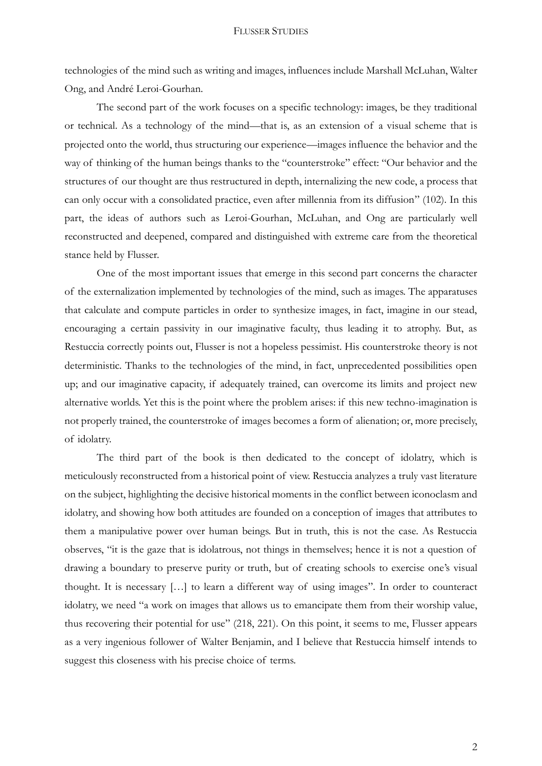technologies of the mind such as writing and images, influences include Marshall McLuhan, Walter Ong, and André Leroi-Gourhan.

The second part of the work focuses on a specific technology: images, be they traditional or technical. As a technology of the mind—that is, as an extension of a visual scheme that is projected onto the world, thus structuring our experience—images influence the behavior and the way of thinking of the human beings thanks to the "counterstroke" effect: "Our behavior and the structures of our thought are thus restructured in depth, internalizing the new code, a process that can only occur with a consolidated practice, even after millennia from its diffusion" (102). In this part, the ideas of authors such as Leroi-Gourhan, McLuhan, and Ong are particularly well reconstructed and deepened, compared and distinguished with extreme care from the theoretical stance held by Flusser.

One of the most important issues that emerge in this second part concerns the character of the externalization implemented by technologies of the mind, such as images. The apparatuses that calculate and compute particles in order to synthesize images, in fact, imagine in our stead, encouraging a certain passivity in our imaginative faculty, thus leading it to atrophy. But, as Restuccia correctly points out, Flusser is not a hopeless pessimist. His counterstroke theory is not deterministic. Thanks to the technologies of the mind, in fact, unprecedented possibilities open up; and our imaginative capacity, if adequately trained, can overcome its limits and project new alternative worlds. Yet this is the point where the problem arises: if this new techno-imagination is not properly trained, the counterstroke of images becomes a form of alienation; or, more precisely, of idolatry.

The third part of the book is then dedicated to the concept of idolatry, which is meticulously reconstructed from a historical point of view. Restuccia analyzes a truly vast literature on the subject, highlighting the decisive historical moments in the conflict between iconoclasm and idolatry, and showing how both attitudes are founded on a conception of images that attributes to them a manipulative power over human beings. But in truth, this is not the case. As Restuccia observes, "it is the gaze that is idolatrous, not things in themselves; hence it is not a question of drawing a boundary to preserve purity or truth, but of creating schools to exercise one's visual thought. It is necessary […] to learn a different way of using images". In order to counteract idolatry, we need "a work on images that allows us to emancipate them from their worship value, thus recovering their potential for use" (218, 221). On this point, it seems to me, Flusser appears as a very ingenious follower of Walter Benjamin, and I believe that Restuccia himself intends to suggest this closeness with his precise choice of terms.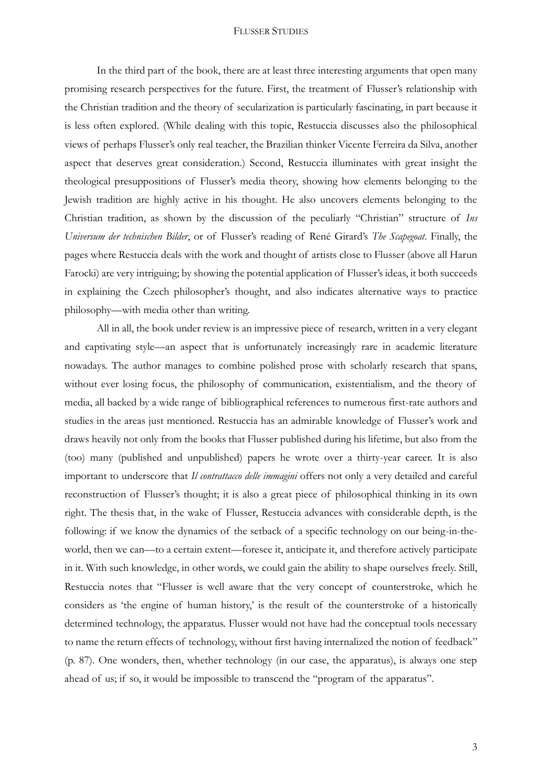## FLUSSER STUDIES

In the third part of the book, there are at least three interesting arguments that open many promising research perspectives for the future. First, the treatment of Flusser's relationship with the Christian tradition and the theory of secularization is particularly fascinating, in part because it is less often explored. (While dealing with this topic, Restuccia discusses also the philosophical views of perhaps Flusser's only real teacher, the Brazilian thinker Vicente Ferreira da Silva, another aspect that deserves great consideration.) Second, Restuccia illuminates with great insight the theological presuppositions of Flusser's media theory, showing how elements belonging to the Jewish tradition are highly active in his thought. He also uncovers elements belonging to the Christian tradition, as shown by the discussion of the peculiarly "Christian" structure of *Ins Universum der technischen Bilder*, or of Flusser's reading of René Girard's *The Scapegoat*. Finally, the pages where Restuccia deals with the work and thought of artists close to Flusser (above all Harun Farocki) are very intriguing; by showing the potential application of Flusser's ideas, it both succeeds in explaining the Czech philosopher's thought, and also indicates alternative ways to practice philosophy—with media other than writing.

All in all, the book under review is an impressive piece of research, written in a very elegant and captivating style—an aspect that is unfortunately increasingly rare in academic literature nowadays. The author manages to combine polished prose with scholarly research that spans, without ever losing focus, the philosophy of communication, existentialism, and the theory of media, all backed by a wide range of bibliographical references to numerous first-rate authors and studies in the areas just mentioned. Restuccia has an admirable knowledge of Flusser's work and draws heavily not only from the books that Flusser published during his lifetime, but also from the (too) many (published and unpublished) papers he wrote over a thirty-year career. It is also important to underscore that *Il contrattacco delle immagini* offers not only a very detailed and careful reconstruction of Flusser's thought; it is also a great piece of philosophical thinking in its own right. The thesis that, in the wake of Flusser, Restuccia advances with considerable depth, is the following: if we know the dynamics of the setback of a specific technology on our being-in-theworld, then we can—to a certain extent—foresee it, anticipate it, and therefore actively participate in it. With such knowledge, in other words, we could gain the ability to shape ourselves freely. Still, Restuccia notes that "Flusser is well aware that the very concept of counterstroke, which he considers as 'the engine of human history,' is the result of the counterstroke of a historically determined technology, the apparatus. Flusser would not have had the conceptual tools necessary to name the return effects of technology, without first having internalized the notion of feedback" (p. 87). One wonders, then, whether technology (in our case, the apparatus), is always one step ahead of us; if so, it would be impossible to transcend the "program of the apparatus".